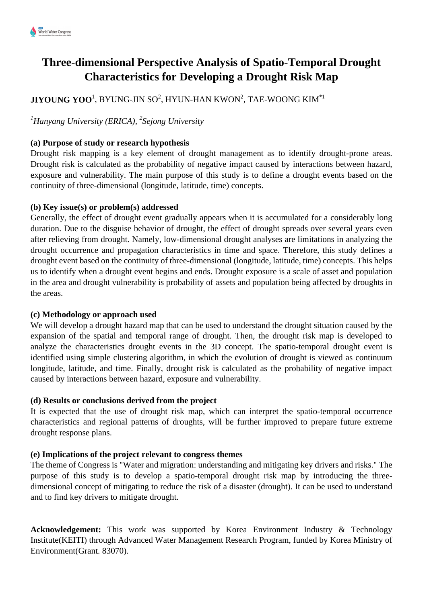# **Three-dimensional Perspective Analysis of Spatio-Temporal Drought Characteristics for Developing a Drought Risk Map**

## ${\bf J}{\bf I}{\bf Y}{\bf O}{\bf U}{\bf N}{\bf G}$   ${\bf V}{\bf N}{\bf N}{\bf N}{\bf N}{\bf N}{\bf N}{\bf N}{\bf N}{\bf N}$  and  ${\bf V}{\bf N}{\bf N}{\bf N}^2,$  tae-woong kim $^*1$

### *<sup>1</sup>Hanyang University (ERICA), <sup>2</sup> Sejong University*

#### **(a) Purpose of study or research hypothesis**

Drought risk mapping is a key element of drought management as to identify drought-prone areas. Drought risk is calculated as the probability of negative impact caused by interactions between hazard, exposure and vulnerability. The main purpose of this study is to define a drought events based on the continuity of three-dimensional (longitude, latitude, time) concepts.

#### **(b) Key issue(s) or problem(s) addressed**

Generally, the effect of drought event gradually appears when it is accumulated for a considerably long duration. Due to the disguise behavior of drought, the effect of drought spreads over several years even after relieving from drought. Namely, low-dimensional drought analyses are limitations in analyzing the drought occurrence and propagation characteristics in time and space. Therefore, this study defines a drought event based on the continuity of three-dimensional (longitude, latitude, time) concepts. This helps us to identify when a drought event begins and ends. Drought exposure is a scale of asset and population in the area and drought vulnerability is probability of assets and population being affected by droughts in the areas.

#### **(c) Methodology or approach used**

We will develop a drought hazard map that can be used to understand the drought situation caused by the expansion of the spatial and temporal range of drought. Then, the drought risk map is developed to analyze the characteristics drought events in the 3D concept. The spatio-temporal drought event is identified using simple clustering algorithm, in which the evolution of drought is viewed as continuum longitude, latitude, and time. Finally, drought risk is calculated as the probability of negative impact caused by interactions between hazard, exposure and vulnerability.

#### **(d) Results or conclusions derived from the project**

It is expected that the use of drought risk map, which can interpret the spatio-temporal occurrence characteristics and regional patterns of droughts, will be further improved to prepare future extreme drought response plans.

#### **(e) Implications of the project relevant to congress themes**

The theme of Congress is "Water and migration: understanding and mitigating key drivers and risks." The purpose of this study is to develop a spatio-temporal drought risk map by introducing the threedimensional concept of mitigating to reduce the risk of a disaster (drought). It can be used to understand and to find key drivers to mitigate drought.

**Acknowledgement:** This work was supported by Korea Environment Industry & Technology Institute(KEITI) through Advanced Water Management Research Program, funded by Korea Ministry of Environment(Grant. 83070).